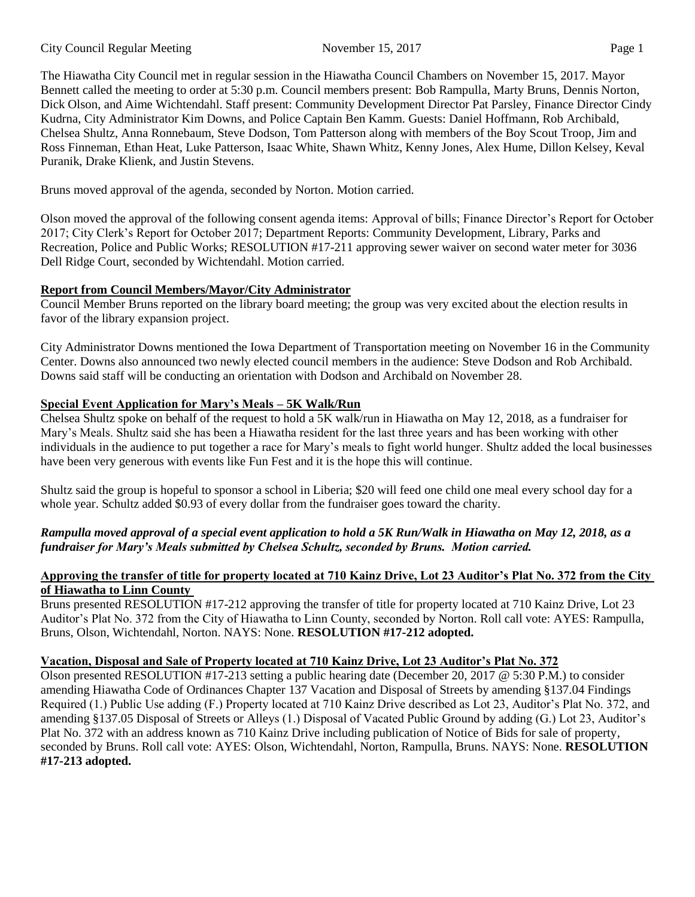#### City Council Regular Meeting November 15, 2017 Page 1

The Hiawatha City Council met in regular session in the Hiawatha Council Chambers on November 15, 2017. Mayor Bennett called the meeting to order at 5:30 p.m. Council members present: Bob Rampulla, Marty Bruns, Dennis Norton, Dick Olson, and Aime Wichtendahl. Staff present: Community Development Director Pat Parsley, Finance Director Cindy Kudrna, City Administrator Kim Downs, and Police Captain Ben Kamm. Guests: Daniel Hoffmann, Rob Archibald, Chelsea Shultz, Anna Ronnebaum, Steve Dodson, Tom Patterson along with members of the Boy Scout Troop, Jim and Ross Finneman, Ethan Heat, Luke Patterson, Isaac White, Shawn Whitz, Kenny Jones, Alex Hume, Dillon Kelsey, Keval Puranik, Drake Klienk, and Justin Stevens.

Bruns moved approval of the agenda, seconded by Norton. Motion carried.

Olson moved the approval of the following consent agenda items: Approval of bills; Finance Director's Report for October 2017; City Clerk's Report for October 2017; Department Reports: Community Development, Library, Parks and Recreation, Police and Public Works; RESOLUTION #17-211 approving sewer waiver on second water meter for 3036 Dell Ridge Court, seconded by Wichtendahl. Motion carried.

# **Report from Council Members/Mayor/City Administrator**

Council Member Bruns reported on the library board meeting; the group was very excited about the election results in favor of the library expansion project.

City Administrator Downs mentioned the Iowa Department of Transportation meeting on November 16 in the Community Center. Downs also announced two newly elected council members in the audience: Steve Dodson and Rob Archibald. Downs said staff will be conducting an orientation with Dodson and Archibald on November 28.

# **Special Event Application for Mary's Meals – 5K Walk/Run**

Chelsea Shultz spoke on behalf of the request to hold a 5K walk/run in Hiawatha on May 12, 2018, as a fundraiser for Mary's Meals. Shultz said she has been a Hiawatha resident for the last three years and has been working with other individuals in the audience to put together a race for Mary's meals to fight world hunger. Shultz added the local businesses have been very generous with events like Fun Fest and it is the hope this will continue.

Shultz said the group is hopeful to sponsor a school in Liberia; \$20 will feed one child one meal every school day for a whole year. Schultz added \$0.93 of every dollar from the fundraiser goes toward the charity.

# *Rampulla moved approval of a special event application to hold a 5K Run/Walk in Hiawatha on May 12, 2018, as a fundraiser for Mary's Meals submitted by Chelsea Schultz, seconded by Bruns. Motion carried.*

## **Approving the transfer of title for property located at 710 Kainz Drive, Lot 23 Auditor's Plat No. 372 from the City of Hiawatha to Linn County**

Bruns presented RESOLUTION #17-212 approving the transfer of title for property located at 710 Kainz Drive, Lot 23 Auditor's Plat No. 372 from the City of Hiawatha to Linn County, seconded by Norton. Roll call vote: AYES: Rampulla, Bruns, Olson, Wichtendahl, Norton. NAYS: None. **RESOLUTION #17-212 adopted.**

## **Vacation, Disposal and Sale of Property located at 710 Kainz Drive, Lot 23 Auditor's Plat No. 372**

Olson presented RESOLUTION #17-213 setting a public hearing date (December 20, 2017 @ 5:30 P.M.) to consider amending Hiawatha Code of Ordinances Chapter 137 Vacation and Disposal of Streets by amending §137.04 Findings Required (1.) Public Use adding (F.) Property located at 710 Kainz Drive described as Lot 23, Auditor's Plat No. 372, and amending §137.05 Disposal of Streets or Alleys (1.) Disposal of Vacated Public Ground by adding (G.) Lot 23, Auditor's Plat No. 372 with an address known as 710 Kainz Drive including publication of Notice of Bids for sale of property, seconded by Bruns. Roll call vote: AYES: Olson, Wichtendahl, Norton, Rampulla, Bruns. NAYS: None. **RESOLUTION #17-213 adopted.**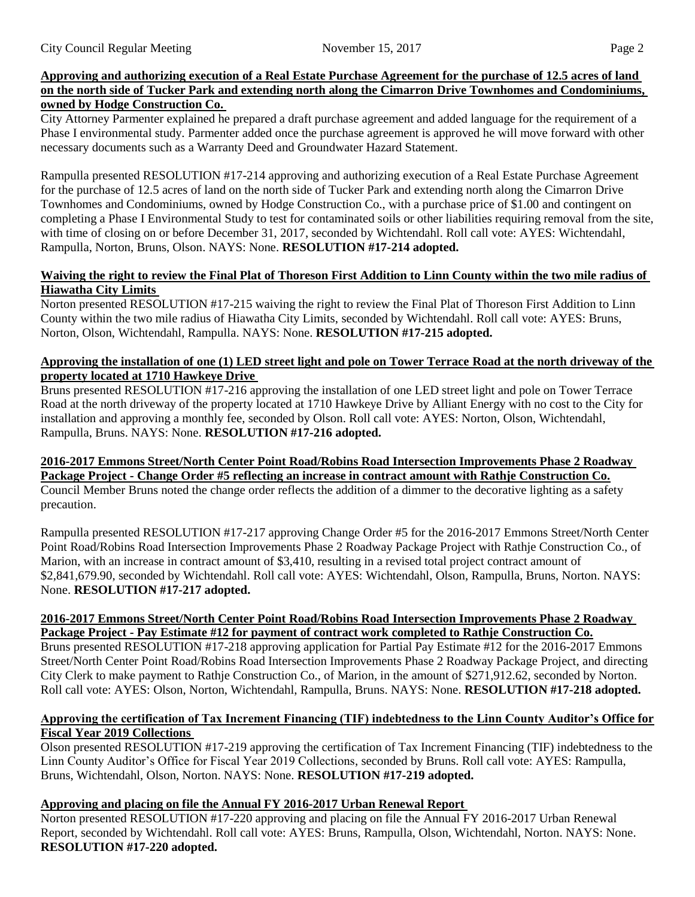precaution.

## **Approving and authorizing execution of a Real Estate Purchase Agreement for the purchase of 12.5 acres of land on the north side of Tucker Park and extending north along the Cimarron Drive Townhomes and Condominiums, owned by Hodge Construction Co.**

City Attorney Parmenter explained he prepared a draft purchase agreement and added language for the requirement of a Phase I environmental study. Parmenter added once the purchase agreement is approved he will move forward with other necessary documents such as a Warranty Deed and Groundwater Hazard Statement.

Rampulla presented RESOLUTION #17-214 approving and authorizing execution of a Real Estate Purchase Agreement for the purchase of 12.5 acres of land on the north side of Tucker Park and extending north along the Cimarron Drive Townhomes and Condominiums, owned by Hodge Construction Co., with a purchase price of \$1.00 and contingent on completing a Phase I Environmental Study to test for contaminated soils or other liabilities requiring removal from the site, with time of closing on or before December 31, 2017, seconded by Wichtendahl. Roll call vote: AYES: Wichtendahl, Rampulla, Norton, Bruns, Olson. NAYS: None. **RESOLUTION #17-214 adopted.**

#### **Waiving the right to review the Final Plat of Thoreson First Addition to Linn County within the two mile radius of Hiawatha City Limits**

Norton presented RESOLUTION #17-215 waiving the right to review the Final Plat of Thoreson First Addition to Linn County within the two mile radius of Hiawatha City Limits, seconded by Wichtendahl. Roll call vote: AYES: Bruns, Norton, Olson, Wichtendahl, Rampulla. NAYS: None. **RESOLUTION #17-215 adopted.**

## **Approving the installation of one (1) LED street light and pole on Tower Terrace Road at the north driveway of the property located at 1710 Hawkeye Drive**

Bruns presented RESOLUTION #17-216 approving the installation of one LED street light and pole on Tower Terrace Road at the north driveway of the property located at 1710 Hawkeye Drive by Alliant Energy with no cost to the City for installation and approving a monthly fee, seconded by Olson. Roll call vote: AYES: Norton, Olson, Wichtendahl, Rampulla, Bruns. NAYS: None. **RESOLUTION #17-216 adopted.**

#### **2016-2017 Emmons Street/North Center Point Road/Robins Road Intersection Improvements Phase 2 Roadway Package Project - Change Order #5 reflecting an increase in contract amount with Rathje Construction Co.** Council Member Bruns noted the change order reflects the addition of a dimmer to the decorative lighting as a safety

Rampulla presented RESOLUTION #17-217 approving Change Order #5 for the 2016-2017 Emmons Street/North Center Point Road/Robins Road Intersection Improvements Phase 2 Roadway Package Project with Rathje Construction Co., of Marion, with an increase in contract amount of \$3,410, resulting in a revised total project contract amount of \$2,841,679.90, seconded by Wichtendahl. Roll call vote: AYES: Wichtendahl, Olson, Rampulla, Bruns, Norton. NAYS: None. **RESOLUTION #17-217 adopted.**

## **2016-2017 Emmons Street/North Center Point Road/Robins Road Intersection Improvements Phase 2 Roadway Package Project - Pay Estimate #12 for payment of contract work completed to Rathje Construction Co.**

Bruns presented RESOLUTION #17-218 approving application for Partial Pay Estimate #12 for the 2016-2017 Emmons Street/North Center Point Road/Robins Road Intersection Improvements Phase 2 Roadway Package Project, and directing City Clerk to make payment to Rathje Construction Co., of Marion, in the amount of \$271,912.62, seconded by Norton. Roll call vote: AYES: Olson, Norton, Wichtendahl, Rampulla, Bruns. NAYS: None. **RESOLUTION #17-218 adopted.**

## **Approving the certification of Tax Increment Financing (TIF) indebtedness to the Linn County Auditor's Office for Fiscal Year 2019 Collections**

Olson presented RESOLUTION #17-219 approving the certification of Tax Increment Financing (TIF) indebtedness to the Linn County Auditor's Office for Fiscal Year 2019 Collections, seconded by Bruns. Roll call vote: AYES: Rampulla, Bruns, Wichtendahl, Olson, Norton. NAYS: None. **RESOLUTION #17-219 adopted.**

# **Approving and placing on file the Annual FY 2016-2017 Urban Renewal Report**

Norton presented RESOLUTION #17-220 approving and placing on file the Annual FY 2016-2017 Urban Renewal Report, seconded by Wichtendahl. Roll call vote: AYES: Bruns, Rampulla, Olson, Wichtendahl, Norton. NAYS: None. **RESOLUTION #17-220 adopted.**